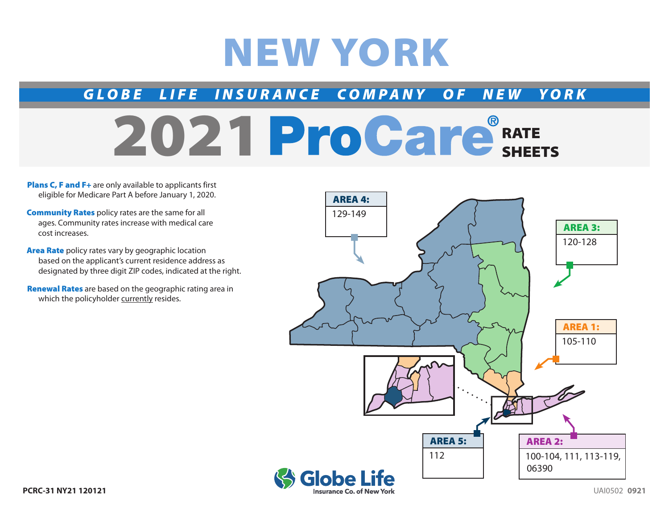# NEW YORK

### *GLOBE LIFE INSURANCE COMPANY OF NEW YORK*

## 2021 ProCare<sup>®</sup>RATE SHEETS

Plans C, F and F+ are only available to applicants first eligible for Medicare Part A before January 1, 2020.

**Community Rates** policy rates are the same for all ages. Community rates increase with medical care cost increases.

**Area Rate** policy rates vary by geographic location based on the applicant's current residence address as designated by three digit ZIP codes, indicated at the right.

Renewal Rates are based on the geographic rating area in which the policyholder currently resides.

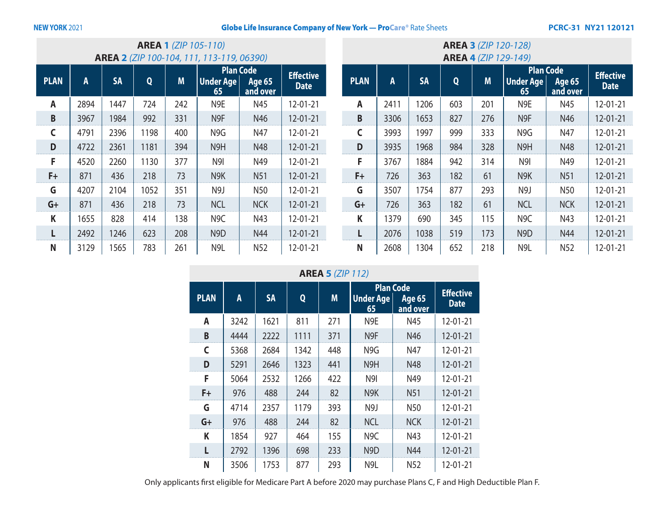#### **NEW YORK 2021 Clobe Life Insurance Company of New York — ProCare® Rate Sheets PCRC-31 NY21 120121**

| <b>AREA 1 (ZIP 105-110)</b><br><b>AREA 2</b> (ZIP 100-104, 111, 113-119, 06390) |      |           |      |     |                        |                                               |                                 |
|---------------------------------------------------------------------------------|------|-----------|------|-----|------------------------|-----------------------------------------------|---------------------------------|
| <b>PLAN</b>                                                                     | A    | <b>SA</b> | Q    | M   | <b>Under Age</b><br>65 | <b>Plan Code</b><br><b>Age 65</b><br>and over | <b>Effective</b><br><b>Date</b> |
| A                                                                               | 2894 | 1447      | 724  | 242 | N <sub>9E</sub>        | N45                                           | 12-01-21                        |
| B                                                                               | 3967 | 1984      | 992  | 331 | N <sub>9F</sub>        | N46                                           | $12 - 01 - 21$                  |
| C                                                                               | 4791 | 2396      | 1198 | 400 | N9G                    | N47                                           | $12 - 01 - 21$                  |
| D                                                                               | 4722 | 2361      | 1181 | 394 | N <sub>9</sub> H       | N48                                           | $12 - 01 - 21$                  |
| F                                                                               | 4520 | 2260      | 1130 | 377 | N <sub>9</sub>         | N49                                           | $12 - 01 - 21$                  |
| F+                                                                              | 871  | 436       | 218  | 73  | N <sub>9</sub> K       | <b>N51</b>                                    | $12 - 01 - 21$                  |
| G                                                                               | 4207 | 2104      | 1052 | 351 | N9J                    | N <sub>50</sub>                               | $12 - 01 - 21$                  |
| $G+$                                                                            | 871  | 436       | 218  | 73  | <b>NCL</b>             | <b>NCK</b>                                    | $12 - 01 - 21$                  |
| K                                                                               | 1655 | 828       | 414  | 138 | N <sub>9</sub> C       | N43                                           | $12 - 01 - 21$                  |
|                                                                                 | 2492 | 1246      | 623  | 208 | N <sub>9</sub> D       | N44                                           | $12 - 01 - 21$                  |
| N                                                                               | 3129 | 1565      | 783  | 261 | N <sub>9L</sub>        | N <sub>52</sub>                               | 12-01-21                        |

| <b>AREA 3 (ZIP 120-128)</b><br><b>AREA 4 (ZIP 129-149)</b> |      |           |     |     |                                            |                           |                                 |
|------------------------------------------------------------|------|-----------|-----|-----|--------------------------------------------|---------------------------|---------------------------------|
| <b>PLAN</b>                                                | A    | <b>SA</b> | Q   | M   | <b>Plan Code</b><br><b>Under Age</b><br>65 | <b>Age 65</b><br>and over | <b>Effective</b><br><b>Date</b> |
| A                                                          | 2411 | 1206      | 603 | 201 | N <sub>9E</sub>                            | N45                       | $12 - 01 - 21$                  |
| B                                                          | 3306 | 1653      | 827 | 276 | N <sub>9F</sub>                            | N46                       | $12 - 01 - 21$                  |
| C                                                          | 3993 | 1997      | 999 | 333 | N9G                                        | N47                       | $12 - 01 - 21$                  |
| D                                                          | 3935 | 1968      | 984 | 328 | N9H                                        | N48                       | $12 - 01 - 21$                  |
| F                                                          | 3767 | 1884      | 942 | 314 | N <sub>9</sub>                             | N49                       | $12 - 01 - 21$                  |
| F+                                                         | 726  | 363       | 182 | 61  | N <sub>9</sub> K                           | <b>N51</b>                | 12-01-21                        |
| G                                                          | 3507 | 1754      | 877 | 293 | N <sub>9</sub> J                           | N50                       | 12-01-21                        |
| $G+$                                                       | 726  | 363       | 182 | 61  | <b>NCL</b>                                 | <b>NCK</b>                | 12-01-21                        |
| K                                                          | 1379 | 690       | 345 | 115 | N <sub>9</sub> C                           | N43                       | $12 - 01 - 21$                  |
| п                                                          | 2076 | 1038      | 519 | 173 | N <sub>9</sub> D                           | N44                       | 12-01-21                        |
| N                                                          | 2608 | 1304      | 652 | 218 | N <sub>9L</sub>                            | N <sub>52</sub>           | 12-01-21                        |

**AREA 5** *(ZIP 112)*

|             |      |           |      |     | <b>Plan Code</b>       |                           | <b>Effective</b> |
|-------------|------|-----------|------|-----|------------------------|---------------------------|------------------|
| <b>PLAN</b> | A    | <b>SA</b> | Q    | M   | <b>Under Age</b><br>65 | <b>Age 65</b><br>and over | <b>Date</b>      |
| A           | 3242 | 1621      | 811  | 271 | N <sub>9E</sub>        | N45                       | $12 - 01 - 21$   |
| B           | 4444 | 2222      | 1111 | 371 | N <sub>9F</sub>        | N46                       | $12 - 01 - 21$   |
| C           | 5368 | 2684      | 1342 | 448 | N <sub>9G</sub>        | N47                       | $12 - 01 - 21$   |
| D           | 5291 | 2646      | 1323 | 441 | N9H                    | N48                       | $12 - 01 - 21$   |
| F           | 5064 | 2532      | 1266 | 422 | N9I                    | N49                       | $12 - 01 - 21$   |
| $F+$        | 976  | 488       | 244  | 82  | N <sub>9</sub> K       | <b>N51</b>                | $12 - 01 - 21$   |
| G           | 4714 | 2357      | 1179 | 393 | N <sub>9</sub> J       | N50                       | $12 - 01 - 21$   |
| $G+$        | 976  | 488       | 244  | 82  | <b>NCL</b>             | <b>NCK</b>                | $12 - 01 - 21$   |
| K           | 1854 | 927       | 464  | 155 | N <sub>9</sub> C       | N43                       | $12 - 01 - 21$   |
|             | 2792 | 1396      | 698  | 233 | N9D                    | N44                       | $12 - 01 - 21$   |
| N           | 3506 | 1753      | 877  | 293 | N <sub>9L</sub>        | N <sub>52</sub>           | $12 - 01 - 21$   |

Only applicants first eligible for Medicare Part A before 2020 may purchase Plans C, F and High Deductible Plan F.